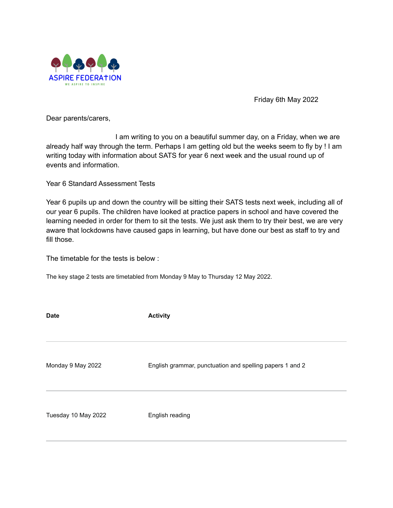

Friday 6th May 2022

Dear parents/carers,

I am writing to you on a beautiful summer day, on a Friday, when we are already half way through the term. Perhaps I am getting old but the weeks seem to fly by ! I am writing today with information about SATS for year 6 next week and the usual round up of events and information.

Year 6 Standard Assessment Tests

Year 6 pupils up and down the country will be sitting their SATS tests next week, including all of our year 6 pupils. The children have looked at practice papers in school and have covered the learning needed in order for them to sit the tests. We just ask them to try their best, we are very aware that lockdowns have caused gaps in learning, but have done our best as staff to try and fill those.

The timetable for the tests is below :

The key stage 2 tests are timetabled from Monday 9 May to Thursday 12 May 2022.

| <b>Date</b>         | <b>Activity</b>                                          |
|---------------------|----------------------------------------------------------|
|                     |                                                          |
| Monday 9 May 2022   | English grammar, punctuation and spelling papers 1 and 2 |
| Tuesday 10 May 2022 | English reading                                          |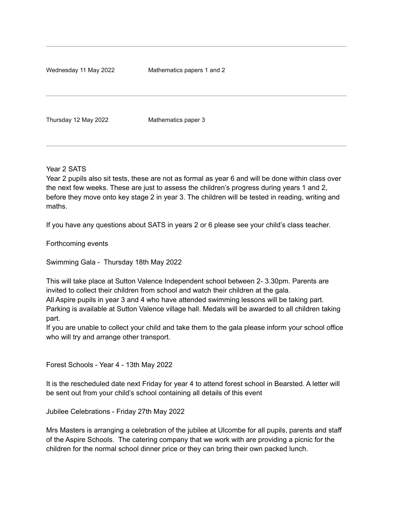Wednesday 11 May 2022 Mathematics papers 1 and 2

Thursday 12 May 2022 Mathematics paper 3

Year 2 SATS

Year 2 pupils also sit tests, these are not as formal as year 6 and will be done within class over the next few weeks. These are just to assess the children's progress during years 1 and 2, before they move onto key stage 2 in year 3. The children will be tested in reading, writing and maths.

If you have any questions about SATS in years 2 or 6 please see your child's class teacher.

Forthcoming events

Swimming Gala - Thursday 18th May 2022

This will take place at Sutton Valence Independent school between 2- 3.30pm. Parents are invited to collect their children from school and watch their children at the gala. All Aspire pupils in year 3 and 4 who have attended swimming lessons will be taking part. Parking is available at Sutton Valence village hall. Medals will be awarded to all children taking part.

If you are unable to collect your child and take them to the gala please inform your school office who will try and arrange other transport.

Forest Schools - Year 4 - 13th May 2022

It is the rescheduled date next Friday for year 4 to attend forest school in Bearsted. A letter will be sent out from your child's school containing all details of this event

Jubilee Celebrations - Friday 27th May 2022

Mrs Masters is arranging a celebration of the jubilee at Ulcombe for all pupils, parents and staff of the Aspire Schools. The catering company that we work with are providing a picnic for the children for the normal school dinner price or they can bring their own packed lunch.